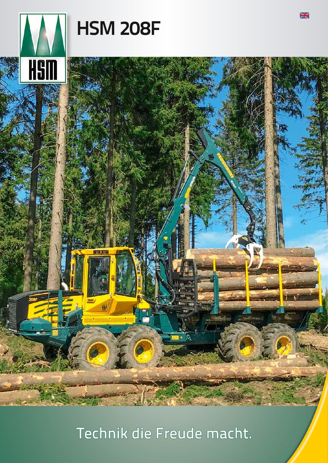

**HSM 208F** 

**HS** 

Technik die Freude macht.

### $H$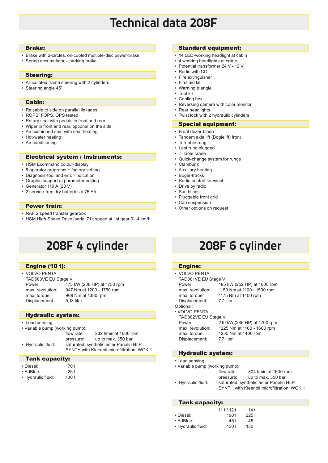# **Technical data 208F**

### Brake:

- Brake with 2-circles, oil-cooled multiple-disc power-brake
- Spring accumulator parking brake

### Steering:

- Articulated frame steering with 2 cylinders
- Steering angle 45°

### Cabin:

- Raisable to side on parallel linkages
- ROPS, FOPS, OPS tested
- Rotary seat with pedals in front and rear
- Wiper in front and rear, optional on the side
- Air cushioned seat with seat heating
- Hot-water heating
- Air conditioning

#### Electrical system / Instruments:

- HSM Ecommand colour-display
- 5 operator programs + factory setting
- Diagnosis-tool and error-indication
- Graphic support at parameter editing
- Generator 110 A (28 V)
- 2 service-free dry batteries á 75 Ah

#### Power train:

- NAF 2 speed transfer gearbox
- HSM High Speed Drive (serial 71); speed at 1st gear 0-14 km/h

# **208F 4 cylinder 208F 6 cylinder**

### Engine (10 t):

| • VOLVO PENTA       |                             |
|---------------------|-----------------------------|
| TAD583VE EU Stage V |                             |
| Power:              | 175 kW (238 HP) at 1750 rpm |
| max. revolution:    | 947 Nm at 1200 - 1750 rpm   |
| max. torque:        | 969 Nm at 1380 rpm          |

### Hydraulic system:

Displacement: 5,13 liter

- Load sensing
- Variable pump (working pump):

|                    | flow rate: | 232 I/min at 1600 rpm                      |
|--------------------|------------|--------------------------------------------|
|                    | pressure:  | up to max. 350 bar                         |
| • Hydraulic fluid: |            | saturated, synthetic ester Panolin HLP     |
|                    |            | SYNTH with Kleenoil microfiltration: WGK 1 |

#### Tank capacity:

| ≏וו<br>c |  |
|----------|--|
|          |  |

- AdBlue: 25 l
- Hydraulic fluid: 130 l
	-

 $1701$ 

### Standard equipment:

- 14 LED-working headlight at cabin
- 4 working headlights at crane
- Potential transformer 24 V 12 V
- Radio with CD
- Fire extinguisher
- First aid kit
- Warning triangle
- Tool kit
- Cooling box
- Reversing camera with color monitor
- Rear headlights
- Twist lock with 2 hydraulic cylinders
- Special equipment:
- Front dozer-blade
- Tandem axle lift (Bogielift) front
- Turnable rung
- Last rung plugged
- Tiltable crane
- Quick-change system for rungs
- Clambunk
- Auxiliary heating
- Bogie-tracks
- Radio control for winch
- Drive by radio
- Sun blinds
- Pluggable front grid
- Cab suspension • Other options on request
- 

### Engine:

- VOLVO PENTA
- TAD881VE EU Stage V

Optional:

- Displacement: 7,7 liter
- Power: 185 kW (252 HP) at 1600 rpm max. revolution: 1150 Nm at 1100 - 1500 rpm max. torque: 1175 Nm at 1400 rpm

#### • VOLVO PENTA

| TAD882VE EU Stage V |                             |  |  |  |  |
|---------------------|-----------------------------|--|--|--|--|
| Power:              | 210 kW (286 HP) at 1700 rpm |  |  |  |  |
| max. revolution:    | 1225 Nm at 1100 - 1600 rpm  |  |  |  |  |
| max. torque:        | 1255 Nm at 1400 rpm         |  |  |  |  |
| Displacement:       | 7,7 liter                   |  |  |  |  |
|                     |                             |  |  |  |  |

### Hydraulic system:

- Load sensing
- Variable pump (working pump):
- flow rate: 304 l/min at 1600 rpm pressure: up to max. 350 bar<br>Hydraulic fluid: saturated. synthetic ester Panolin saturated, synthetic ester Panolin HLP
	- SYNTH with Kleenoil microfiltration; WGK 1

### Tank capacity:

|                    | 111/121 | 14 t  |
|--------------------|---------|-------|
| • Diesel:          | 1901    | 2251  |
| • AdBlue:          | 45 I    | 451   |
| • Hydraulic fluid: | 130 I   | 130 I |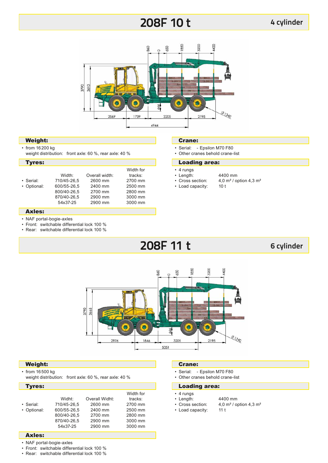# **208F 10 t**



### Weight:

- from 16200 kg
- weight distribution: front axle: 60 %, rear axle: 40 %

### Tyres:

|             |             |                | Width for |  |
|-------------|-------------|----------------|-----------|--|
|             | Width:      | Overall width: | tracks:   |  |
| • Serial:   | 710/45-26.5 | 2600 mm        | 2700 mm   |  |
| • Optional: | 600/55-26.5 | 2400 mm        | 2500 mm   |  |
|             | 800/40-26.5 | 2700 mm        | 2800 mm   |  |
|             | 870/40-26.5 | 2900 mm        | 3000 mm   |  |
|             | 54x37-25    | 2900 mm        | 3000 mm   |  |
|             |             |                |           |  |

### Crane:

- Serial: Epsilon M70 F80
- Other cranes behold crane-list

### Loading area:

- 4 rungs
- 
- Length:  $4400 \text{ mm}$ <br>• Cross section:  $4.0 \text{ m}^2/\text{o}$ 4,0 m<sup>2</sup> / option 4,3 m<sup>2</sup>
- 
- 
- 
- Load capacity: 10 t

### Axles:

- NAF portal-bogie-axles
- Front: switchable differential lock 100 %
- Rear: switchable differential lock 100 %

# **208F 11 t**

### **6 cylinder**



### Weight:

- from 16500 kg
- weight distribution: front axle: 60 %, rear axle: 40 %

### Tyres:

| • Serial:<br>• Optional: | Widht:<br>710/45-26.5<br>600/55-26,5<br>800/40-26.5<br>870/40-26.5<br>54x37-25 | Overall Widht:<br>2600 mm<br>2400 mm<br>2700 mm<br>2900 mm<br>2900 mm | Width for<br>tracks:<br>2700 mm<br>2500 mm<br>2800 mm<br>3000 mm<br>3000 mm |
|--------------------------|--------------------------------------------------------------------------------|-----------------------------------------------------------------------|-----------------------------------------------------------------------------|
|                          |                                                                                |                                                                       |                                                                             |

### Crane:

- Serial: Epsilon M70 F80
- Other cranes behold crane-list
- Loading area:
- 4 rungs
- 
- Length:  $4400 \text{ mm}$ <br>• Cross section:  $4,0 \text{ m}^2/\text{ cm}$ • Load capacity: 11 t
	- 4,0 m<sup>2</sup> / option 4,3 m<sup>2</sup>

- Axles:
- NAF portal-bogie-axles
- Front: switchable differential lock 100 %
- Rear: switchable differential lock 100 %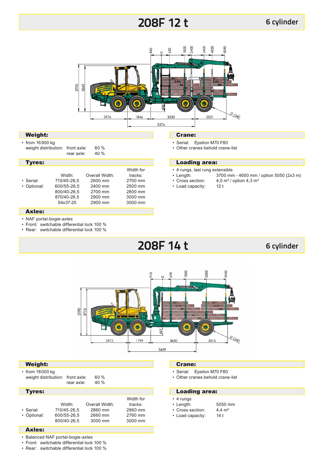# **208F 12 t**



### Weight:

• from 16900 kg weight distribution: front axle: 60 %<br>rear axle: 40 %

rear axle:

### Tyres:

|             |             |                | Width for |
|-------------|-------------|----------------|-----------|
|             | Width:      | Overall Width: | tracks:   |
| • Serial:   | 710/45-26.5 | 2600 mm        | 2700 mm   |
| • Optional: | 600/55-26.5 | 2400 mm        | 2500 mm   |
|             | 800/40-26.5 | 2700 mm        | 2800 mm   |
|             | 870/40-26.5 | 2900 mm        | 3000 mm   |
|             | 54x37-25    | 2900 mm        | 3000 mm   |
|             |             |                |           |

### Crane:

- Serial: Epsilon M70 F80
- Other cranes behold crane-list

### Loading area:

- 4 rungs, last rung extensible
- Length: 3700 mm 4650 mm / option 5050 (2x3 m)<br>• Cross section: 4.0 m<sup>2</sup> / option 4.3 m<sup>2</sup>

4,0 m<sup>2</sup> / option 4,3 m<sup>2</sup>

- 
- Load capacity: 12 t

### Axles:

- NAF portal-bogie-axles
- Front: switchable differential lock 100 %
- Rear: switchable differential lock 100 %

## **208F 14 t**

### **6 cylinder**



### Weight:

• from 18000 kg weight distribution: front axle: 60 %<br>cear axle: 40 %

rear axle:

### Width for<br>Width: Overall Width: tracks: Overall Width: tracks:<br>2860 mm 2960 mm • Serial: 710/45-26,5 2860 mm 2960 mm • Optional: 600/55-26,5 2660 mm 2760 mm 800/40-26,5 Tyres:

### Axles:

• Balanced NAF portal-bogie-axles

• Front: switchable differential lock 100 %

• Rear: switchable differential lock 100 %

### Crane:

- Serial: Epsilon M70 F80
- Other cranes behold crane-list

### Loading area:

- 4 rungs
- Length: 5050 mm<br>• Cross section:  $4.4 \text{ m}^2$
- Cross section: 4,4 m<br>• Load capacity: 14 t • Load capacity:
	-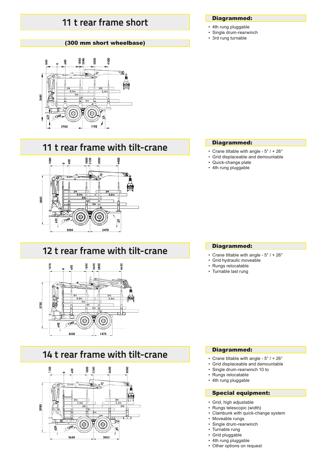### **11 t rear frame short**

### (300 mm short wheelbase)



### **11 t rear frame with tilt-crane**



### **12 t rear frame with tilt-crane**



### **14 t rear frame with tilt-crane**



### Diagrammed:

- 4th rung pluggable
- Single drum-rearwinch
- 3rd rung turnable

### Diagrammed:

- Crane tiltable with angle 5° / + 26°
- Grid displaceable and demountable
- Quick-change plate
- 4th rung pluggable

### Diagrammed:

- Crane tiltable with angle 5° / + 26°
- Grid hydraulic moveable
- Rungs relocatable
- Turnable last rung

### Diagrammed:

- Crane tiltable with angle 5° / + 26°
- Grid displaceable and demountable • Single drum-rearwinch 10 to
- 
- Rungs relocatable • 4th rung pluggable

### Special equipment:

- Grid, high adjustable
- Rungs telescopic (width)
- Clambunk with quick-change system
- Moveable rungs
- Single drum-rearwinch
- Turnable rung
- Grid pluggable • 4th rung pluggable
- Other options on request